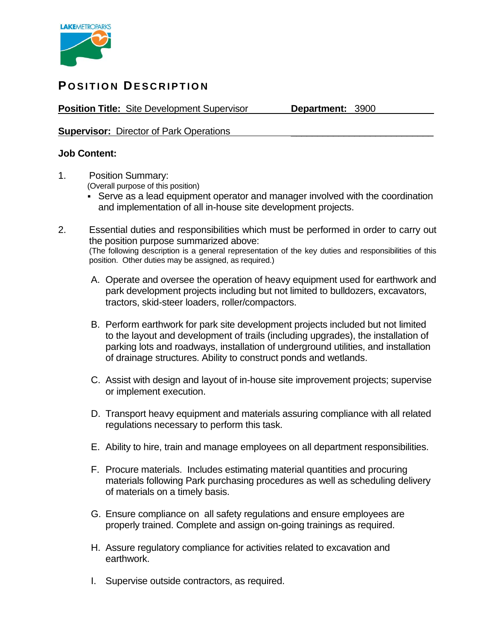

## **POSITION DESCRIPTION**

**Position Title:** Site Development Supervisor **Department:** 3900

## **Supervisor:** Director of Park Operations

## **Job Content:**

- 1. Position Summary: (Overall purpose of this position)
	- Serve as a lead equipment operator and manager involved with the coordination and implementation of all in-house site development projects.
- 2. Essential duties and responsibilities which must be performed in order to carry out the position purpose summarized above: (The following description is a general representation of the key duties and responsibilities of this position. Other duties may be assigned, as required.)
	- A. Operate and oversee the operation of heavy equipment used for earthwork and park development projects including but not limited to bulldozers, excavators, tractors, skid-steer loaders, roller/compactors.
	- B. Perform earthwork for park site development projects included but not limited to the layout and development of trails (including upgrades), the installation of parking lots and roadways, installation of underground utilities, and installation of drainage structures. Ability to construct ponds and wetlands.
	- C. Assist with design and layout of in-house site improvement projects; supervise or implement execution.
	- D. Transport heavy equipment and materials assuring compliance with all related regulations necessary to perform this task.
	- E. Ability to hire, train and manage employees on all department responsibilities.
	- F. Procure materials. Includes estimating material quantities and procuring materials following Park purchasing procedures as well as scheduling delivery of materials on a timely basis.
	- G. Ensure compliance on all safety regulations and ensure employees are properly trained. Complete and assign on-going trainings as required.
	- H. Assure regulatory compliance for activities related to excavation and earthwork.
	- I. Supervise outside contractors, as required.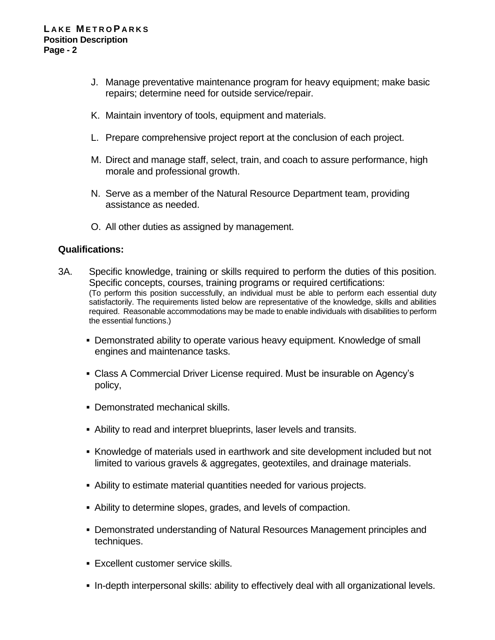- J. Manage preventative maintenance program for heavy equipment; make basic repairs; determine need for outside service/repair.
- K. Maintain inventory of tools, equipment and materials.
- L. Prepare comprehensive project report at the conclusion of each project.
- M. Direct and manage staff, select, train, and coach to assure performance, high morale and professional growth.
- N. Serve as a member of the Natural Resource Department team, providing assistance as needed.
- O. All other duties as assigned by management.

## **Qualifications:**

- 3A. Specific knowledge, training or skills required to perform the duties of this position. Specific concepts, courses, training programs or required certifications: (To perform this position successfully, an individual must be able to perform each essential duty satisfactorily. The requirements listed below are representative of the knowledge, skills and abilities required. Reasonable accommodations may be made to enable individuals with disabilities to perform the essential functions.)
	- **Demonstrated ability to operate various heavy equipment. Knowledge of small** engines and maintenance tasks.
	- Class A Commercial Driver License required. Must be insurable on Agency's policy,
	- Demonstrated mechanical skills.
	- Ability to read and interpret blueprints, laser levels and transits.
	- Knowledge of materials used in earthwork and site development included but not limited to various gravels & aggregates, geotextiles, and drainage materials.
	- Ability to estimate material quantities needed for various projects.
	- Ability to determine slopes, grades, and levels of compaction.
	- Demonstrated understanding of Natural Resources Management principles and techniques.
	- Excellent customer service skills.
	- In-depth interpersonal skills: ability to effectively deal with all organizational levels.